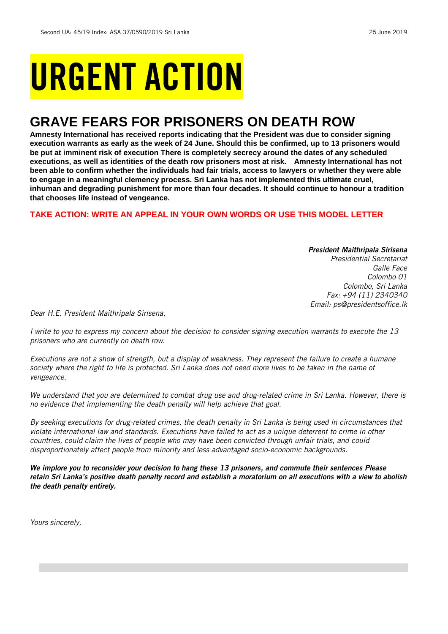# URGENT ACTION

## **GRAVE FEARS FOR PRISONERS ON DEATH ROW**

**Amnesty International has received reports indicating that the President was due to consider signing execution warrants as early as the week of 24 June. Should this be confirmed, up to 13 prisoners would be put at imminent risk of execution There is completely secrecy around the dates of any scheduled executions, as well as identities of the death row prisoners most at risk. Amnesty International has not been able to confirm whether the individuals had fair trials, access to lawyers or whether they were able to engage in a meaningful clemency process. Sri Lanka has not implemented this ultimate cruel, inhuman and degrading punishment for more than four decades. It should continue to honour a tradition that chooses life instead of vengeance.** 

## **TAKE ACTION: WRITE AN APPEAL IN YOUR OWN WORDS OR USE THIS MODEL LETTER**

*President Maithripala Sirisena Presidential Secretariat Galle Face Colombo 01 Colombo, Sri Lanka Fax: +94 (11) 2340340 Email: ps@presidentsoffice.lk* 

*Dear H.E. President Maithripala Sirisena,*

*I write to you to express my concern about the decision to consider signing execution warrants to execute the 13 prisoners who are currently on death row.* 

*Executions are not a show of strength, but a display of weakness. They represent the failure to create a humane society where the right to life is protected. Sri Lanka does not need more lives to be taken in the name of vengeance.*

*We understand that you are determined to combat drug use and drug-related crime in Sri Lanka. However, there is no evidence that implementing the death penalty will help achieve that goal.*

*By seeking executions for drug-related crimes, the death penalty in Sri Lanka is being used in circumstances that violate international law and standards. Executions have failed to act as a unique deterrent to crime in other countries, could claim the lives of people who may have been convicted through unfair trials, and could disproportionately affect people from minority and less advantaged socio-economic backgrounds.*

*We implore you to reconsider your decision to hang these 13 prisoners, and commute their sentences Please retain Sri Lanka's positive death penalty record and establish a moratorium on all executions with a view to abolish the death penalty entirely.*

*Yours sincerely,*